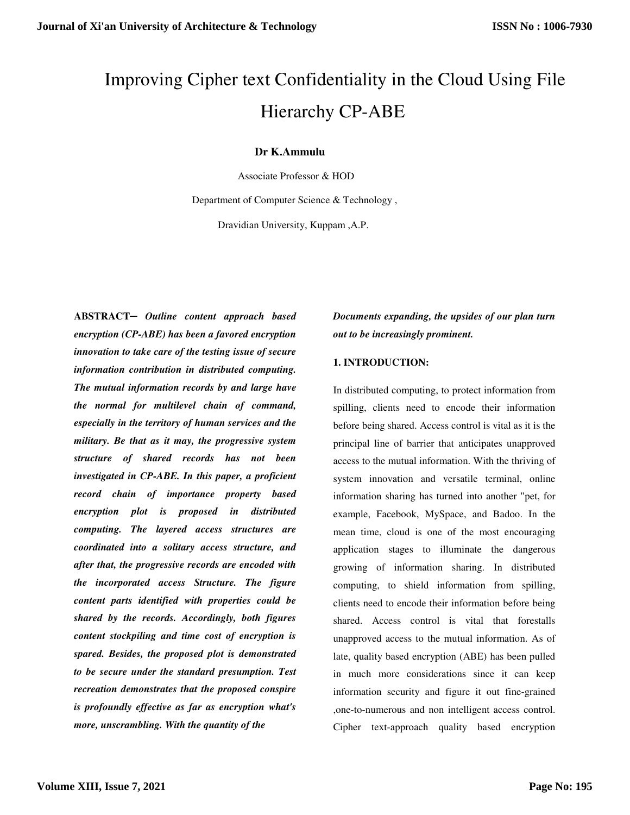# Improving Cipher text Confidentiality in the Cloud Using File Hierarchy CP-ABE

# **Dr K.Ammulu**

Associate Professor & HOD

Department of Computer Science & Technology ,

Dravidian University, Kuppam ,A.P.

**ABSTRACT─** *Outline content approach based encryption (CP-ABE) has been a favored encryption innovation to take care of the testing issue of secure information contribution in distributed computing. The mutual information records by and large have the normal for multilevel chain of command, especially in the territory of human services and the military. Be that as it may, the progressive system structure of shared records has not been investigated in CP-ABE. In this paper, a proficient record chain of importance property based encryption plot is proposed in distributed computing. The layered access structures are coordinated into a solitary access structure, and after that, the progressive records are encoded with the incorporated access Structure. The figure content parts identified with properties could be shared by the records. Accordingly, both figures content stockpiling and time cost of encryption is spared. Besides, the proposed plot is demonstrated to be secure under the standard presumption. Test recreation demonstrates that the proposed conspire is profoundly effective as far as encryption what's more, unscrambling. With the quantity of the* 

*Documents expanding, the upsides of our plan turn out to be increasingly prominent.* 

# **1. INTRODUCTION:**

In distributed computing, to protect information from spilling, clients need to encode their information before being shared. Access control is vital as it is the principal line of barrier that anticipates unapproved access to the mutual information. With the thriving of system innovation and versatile terminal, online information sharing has turned into another "pet, for example, Facebook, MySpace, and Badoo. In the mean time, cloud is one of the most encouraging application stages to illuminate the dangerous growing of information sharing. In distributed computing, to shield information from spilling, clients need to encode their information before being shared. Access control is vital that forestalls unapproved access to the mutual information. As of late, quality based encryption (ABE) has been pulled in much more considerations since it can keep information security and figure it out fine-grained ,one-to-numerous and non intelligent access control. Cipher text-approach quality based encryption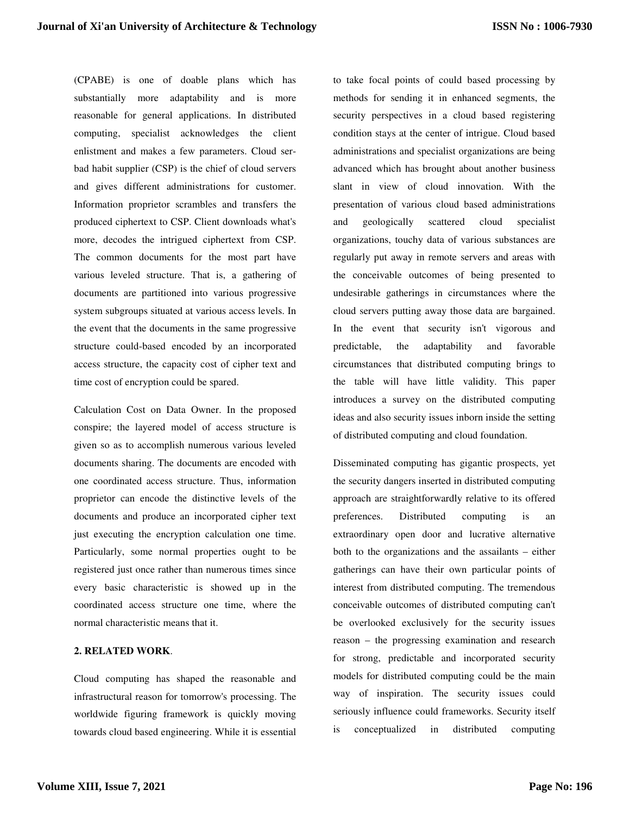(CPABE) is one of doable plans which has substantially more adaptability and is more reasonable for general applications. In distributed computing, specialist acknowledges the client enlistment and makes a few parameters. Cloud serbad habit supplier (CSP) is the chief of cloud servers and gives different administrations for customer. Information proprietor scrambles and transfers the produced ciphertext to CSP. Client downloads what's more, decodes the intrigued ciphertext from CSP. The common documents for the most part have various leveled structure. That is, a gathering of documents are partitioned into various progressive system subgroups situated at various access levels. In the event that the documents in the same progressive structure could-based encoded by an incorporated access structure, the capacity cost of cipher text and time cost of encryption could be spared.

Calculation Cost on Data Owner. In the proposed conspire; the layered model of access structure is given so as to accomplish numerous various leveled documents sharing. The documents are encoded with one coordinated access structure. Thus, information proprietor can encode the distinctive levels of the documents and produce an incorporated cipher text just executing the encryption calculation one time. Particularly, some normal properties ought to be registered just once rather than numerous times since every basic characteristic is showed up in the coordinated access structure one time, where the normal characteristic means that it.

## **2. RELATED WORK**.

Cloud computing has shaped the reasonable and infrastructural reason for tomorrow's processing. The worldwide figuring framework is quickly moving towards cloud based engineering. While it is essential to take focal points of could based processing by methods for sending it in enhanced segments, the security perspectives in a cloud based registering condition stays at the center of intrigue. Cloud based administrations and specialist organizations are being advanced which has brought about another business slant in view of cloud innovation. With the presentation of various cloud based administrations and geologically scattered cloud specialist organizations, touchy data of various substances are regularly put away in remote servers and areas with the conceivable outcomes of being presented to undesirable gatherings in circumstances where the cloud servers putting away those data are bargained. In the event that security isn't vigorous and predictable, the adaptability and favorable circumstances that distributed computing brings to the table will have little validity. This paper introduces a survey on the distributed computing ideas and also security issues inborn inside the setting of distributed computing and cloud foundation.

Disseminated computing has gigantic prospects, yet the security dangers inserted in distributed computing approach are straightforwardly relative to its offered preferences. Distributed computing is an extraordinary open door and lucrative alternative both to the organizations and the assailants – either gatherings can have their own particular points of interest from distributed computing. The tremendous conceivable outcomes of distributed computing can't be overlooked exclusively for the security issues reason – the progressing examination and research for strong, predictable and incorporated security models for distributed computing could be the main way of inspiration. The security issues could seriously influence could frameworks. Security itself is conceptualized in distributed computing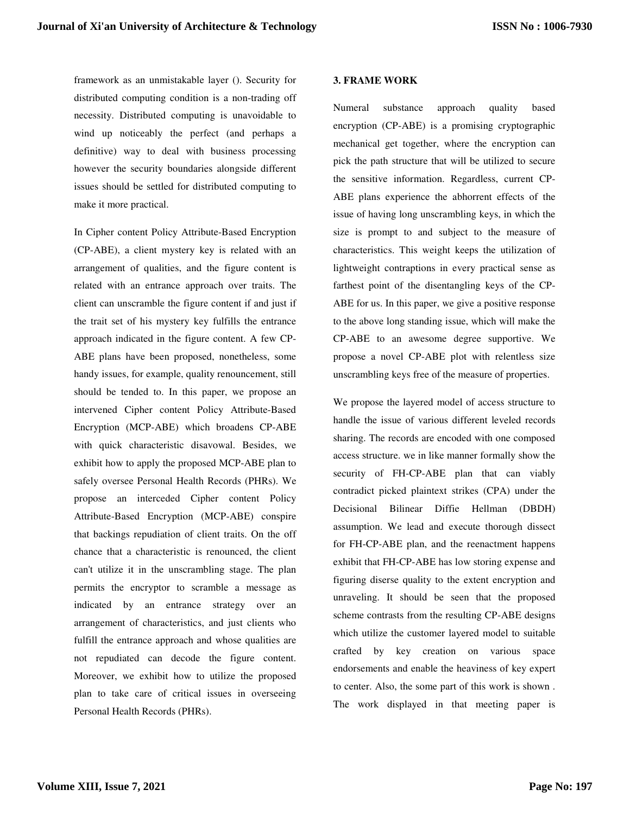framework as an unmistakable layer (). Security for distributed computing condition is a non-trading off necessity. Distributed computing is unavoidable to wind up noticeably the perfect (and perhaps a definitive) way to deal with business processing however the security boundaries alongside different issues should be settled for distributed computing to make it more practical.

In Cipher content Policy Attribute-Based Encryption (CP-ABE), a client mystery key is related with an arrangement of qualities, and the figure content is related with an entrance approach over traits. The client can unscramble the figure content if and just if the trait set of his mystery key fulfills the entrance approach indicated in the figure content. A few CP-ABE plans have been proposed, nonetheless, some handy issues, for example, quality renouncement, still should be tended to. In this paper, we propose an intervened Cipher content Policy Attribute-Based Encryption (MCP-ABE) which broadens CP-ABE with quick characteristic disavowal. Besides, we exhibit how to apply the proposed MCP-ABE plan to safely oversee Personal Health Records (PHRs). We propose an interceded Cipher content Policy Attribute-Based Encryption (MCP-ABE) conspire that backings repudiation of client traits. On the off chance that a characteristic is renounced, the client can't utilize it in the unscrambling stage. The plan permits the encryptor to scramble a message as indicated by an entrance strategy over an arrangement of characteristics, and just clients who fulfill the entrance approach and whose qualities are not repudiated can decode the figure content. Moreover, we exhibit how to utilize the proposed plan to take care of critical issues in overseeing Personal Health Records (PHRs).

#### **3. FRAME WORK**

Numeral substance approach quality based encryption (CP-ABE) is a promising cryptographic mechanical get together, where the encryption can pick the path structure that will be utilized to secure the sensitive information. Regardless, current CP-ABE plans experience the abhorrent effects of the issue of having long unscrambling keys, in which the size is prompt to and subject to the measure of characteristics. This weight keeps the utilization of lightweight contraptions in every practical sense as farthest point of the disentangling keys of the CP-ABE for us. In this paper, we give a positive response to the above long standing issue, which will make the CP-ABE to an awesome degree supportive. We propose a novel CP-ABE plot with relentless size unscrambling keys free of the measure of properties.

We propose the layered model of access structure to handle the issue of various different leveled records sharing. The records are encoded with one composed access structure. we in like manner formally show the security of FH-CP-ABE plan that can viably contradict picked plaintext strikes (CPA) under the Decisional Bilinear Diffie Hellman (DBDH) assumption. We lead and execute thorough dissect for FH-CP-ABE plan, and the reenactment happens exhibit that FH-CP-ABE has low storing expense and figuring diserse quality to the extent encryption and unraveling. It should be seen that the proposed scheme contrasts from the resulting CP-ABE designs which utilize the customer layered model to suitable crafted by key creation on various space endorsements and enable the heaviness of key expert to center. Also, the some part of this work is shown . The work displayed in that meeting paper is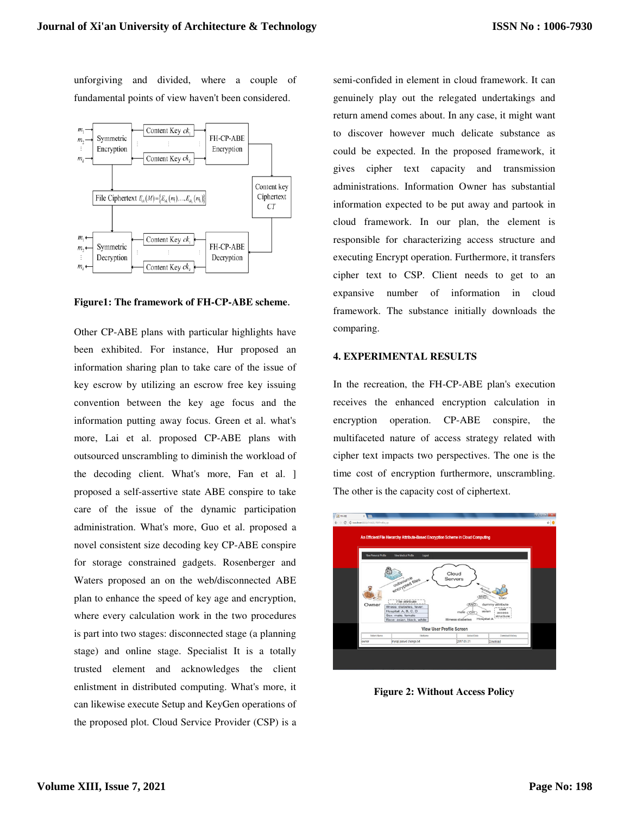unforgiving and divided, where a couple of fundamental points of view haven't been considered.



**Figure1: The framework of FH-CP-ABE scheme**.

Other CP-ABE plans with particular highlights have been exhibited. For instance, Hur proposed an information sharing plan to take care of the issue of key escrow by utilizing an escrow free key issuing convention between the key age focus and the information putting away focus. Green et al. what's more, Lai et al. proposed CP-ABE plans with outsourced unscrambling to diminish the workload of the decoding client. What's more, Fan et al. ] proposed a self-assertive state ABE conspire to take care of the issue of the dynamic participation administration. What's more, Guo et al. proposed a novel consistent size decoding key CP-ABE conspire for storage constrained gadgets. Rosenberger and Waters proposed an on the web/disconnected ABE plan to enhance the speed of key age and encryption, where every calculation work in the two procedures is part into two stages: disconnected stage (a planning stage) and online stage. Specialist It is a totally trusted element and acknowledges the client enlistment in distributed computing. What's more, it can likewise execute Setup and KeyGen operations of the proposed plot. Cloud Service Provider (CSP) is a semi-confided in element in cloud framework. It can genuinely play out the relegated undertakings and return amend comes about. In any case, it might want to discover however much delicate substance as could be expected. In the proposed framework, it gives cipher text capacity and transmission administrations. Information Owner has substantial information expected to be put away and partook in cloud framework. In our plan, the element is responsible for characterizing access structure and executing Encrypt operation. Furthermore, it transfers cipher text to CSP. Client needs to get to an expansive number of information in cloud framework. The substance initially downloads the comparing.

## **4. EXPERIMENTAL RESULTS**

In the recreation, the FH-CP-ABE plan's execution receives the enhanced encryption calculation in encryption operation. CP-ABE conspire, the multifaceted nature of access strategy related with cipher text impacts two perspectives. The one is the time cost of encryption furthermore, unscrambling. The other is the capacity cost of ciphertext.



**Figure 2: Without Access Policy**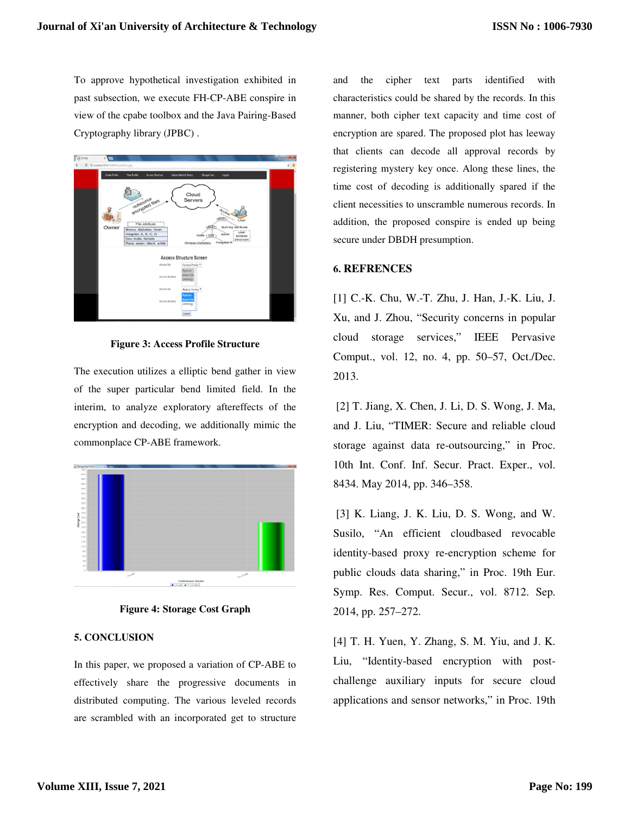To approve hypothetical investigation exhibited in past subsection, we execute FH-CP-ABE conspire in view of the cpabe toolbox and the Java Pairing-Based Cryptography library (JPBC) .



**Figure 3: Access Profile Structure** 

The execution utilizes a elliptic bend gather in view of the super particular bend limited field. In the interim, to analyze exploratory aftereffects of the encryption and decoding, we additionally mimic the commonplace CP-ABE framework.



**Figure 4: Storage Cost Graph** 

## **5. CONCLUSION**

In this paper, we proposed a variation of CP-ABE to effectively share the progressive documents in distributed computing. The various leveled records are scrambled with an incorporated get to structure and the cipher text parts identified with characteristics could be shared by the records. In this manner, both cipher text capacity and time cost of encryption are spared. The proposed plot has leeway that clients can decode all approval records by registering mystery key once. Along these lines, the time cost of decoding is additionally spared if the client necessities to unscramble numerous records. In addition, the proposed conspire is ended up being secure under DBDH presumption.

# **6. REFRENCES**

[1] C.-K. Chu, W.-T. Zhu, J. Han, J.-K. Liu, J. Xu, and J. Zhou, "Security concerns in popular cloud storage services," IEEE Pervasive Comput., vol. 12, no. 4, pp. 50–57, Oct./Dec. 2013.

 [2] T. Jiang, X. Chen, J. Li, D. S. Wong, J. Ma, and J. Liu, "TIMER: Secure and reliable cloud storage against data re-outsourcing," in Proc. 10th Int. Conf. Inf. Secur. Pract. Exper., vol. 8434. May 2014, pp. 346–358.

 [3] K. Liang, J. K. Liu, D. S. Wong, and W. Susilo, "An efficient cloudbased revocable identity-based proxy re-encryption scheme for public clouds data sharing," in Proc. 19th Eur. Symp. Res. Comput. Secur., vol. 8712. Sep. 2014, pp. 257–272.

[4] T. H. Yuen, Y. Zhang, S. M. Yiu, and J. K. Liu, "Identity-based encryption with postchallenge auxiliary inputs for secure cloud applications and sensor networks," in Proc. 19th